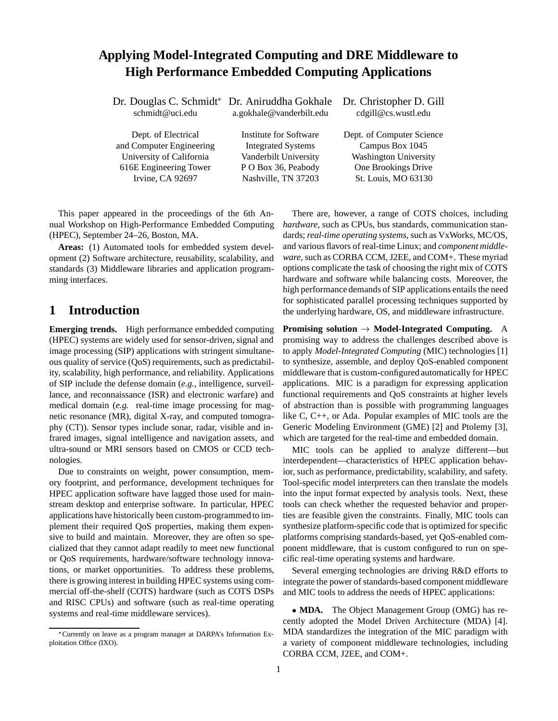## **Applying Model-Integrated Computing and DRE Middleware to High Performance Embedded Computing Applications**

| Dr. Douglas C. Schmidt* Dr. Aniruddha Gokhale |                           | Dr. Christopher D. Gill      |
|-----------------------------------------------|---------------------------|------------------------------|
| schmidt@uci.edu                               | a.gokhale@vanderbilt.edu  | cdgill@cs.wustl.edu          |
|                                               |                           |                              |
| Dept. of Electrical                           | Institute for Software    | Dept. of Computer Science    |
| and Computer Engineering                      | <b>Integrated Systems</b> | Campus Box 1045              |
| University of California                      | Vanderbilt University     | <b>Washington University</b> |
| 616E Engineering Tower                        | P O Box 36, Peabody       | One Brookings Drive          |
| Irvine, CA 92697                              | Nashville, TN 37203       | St. Louis, MO 63130          |
|                                               |                           |                              |

This paper appeared in the proceedings of the 6th Annual Workshop on High-Performance Embedded Computing (HPEC), September 24–26, Boston, MA.

**Areas:** (1) Automated tools for embedded system development (2) Software architecture, reusability, scalability, and standards (3) Middleware libraries and application programming interfaces.

## **1 Introduction**

**Emerging trends.** High performance embedded computing (HPEC) systems are widely used for sensor-driven, signal and image processing (SIP) applications with stringent simultaneous quality of service (QoS) requirements, such as predictability, scalability, high performance, and reliability. Applications of SIP include the defense domain (*e.g.*, intelligence, surveillance, and reconnaissance (ISR) and electronic warfare) and medical domain (*e.g.* real-time image processing for magnetic resonance (MR), digital X-ray, and computed tomography (CT)). Sensor types include sonar, radar, visible and infrared images, signal intelligence and navigation assets, and ultra-sound or MRI sensors based on CMOS or CCD technologies.

Due to constraints on weight, power consumption, memory footprint, and performance, development techniques for HPEC application software have lagged those used for mainstream desktop and enterprise software. In particular, HPEC applications have historically been custom-programmed to implement their required QoS properties, making them expensive to build and maintain. Moreover, they are often so specialized that they cannot adapt readily to meet new functional or QoS requirements, hardware/software technology innovations, or market opportunities. To address these problems, there is growing interest in building HPEC systems using commercial off-the-shelf (COTS) hardware (such as COTS DSPs and RISC CPUs) and software (such as real-time operating systems and real-time middleware services).

There are, however, a range of COTS choices, including *hardware*, such as CPUs, bus standards, communication standards; *real-time operating systems*, such as VxWorks, MC/OS, and various flavors of real-time Linux; and *component middleware*, such as CORBA CCM, J2EE, and COM+. These myriad options complicate the task of choosing the right mix of COTS hardware and software while balancing costs. Moreover, the high performance demands of SIP applications entails the need for sophisticated parallel processing techniques supported by the underlying hardware, OS, and middleware infrastructure.

**Promising solution**  $\rightarrow$  **Model-Integrated Computing.** A promising way to address the challenges described above is to apply *Model-Integrated Computing* (MIC) technologies [1] to synthesize, assemble, and deploy QoS-enabled component middleware that is custom-configured automatically for HPEC applications. MIC is a paradigm for expressing application functional requirements and QoS constraints at higher levels of abstraction than is possible with programming languages like C, C++, or Ada. Popular examples of MIC tools are the Generic Modeling Environment (GME) [2] and Ptolemy [3], which are targeted for the real-time and embedded domain.

MIC tools can be applied to analyze different—but interdependent—characteristics of HPEC application behavior, such as performance, predictability, scalability, and safety. Tool-specific model interpreters can then translate the models into the input format expected by analysis tools. Next, these tools can check whether the requested behavior and properties are feasible given the constraints. Finally, MIC tools can synthesize platform-specific code that is optimized for specific platforms comprising standards-based, yet QoS-enabled component middleware, that is custom configured to run on specific real-time operating systems and hardware.

Several emerging technologies are driving R&D efforts to integrate the power of standards-based component middleware and MIC tools to address the needs of HPEC applications:

• **MDA.** The Object Management Group (OMG) has recently adopted the Model Driven Architecture (MDA) [4]. MDA standardizes the integration of the MIC paradigm with a variety of component middleware technologies, including CORBA CCM, J2EE, and COM+.

Currently on leave as a program manager at DARPA's Information Exploitation Office (IXO).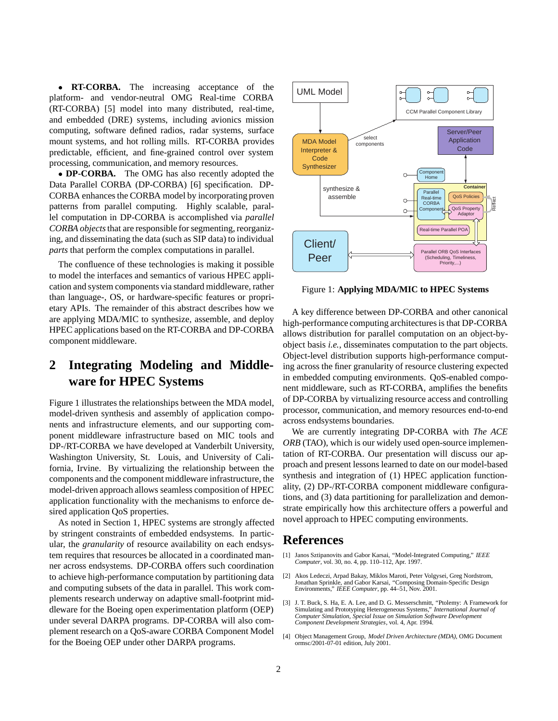**• RT-CORBA.** The increasing acceptance of the platform- and vendor-neutral OMG Real-time CORBA (RT-CORBA) [5] model into many distributed, real-time, and embedded (DRE) systems, including avionics mission computing, software defined radios, radar systems, surface mount systems, and hot rolling mills. RT-CORBA provides predictable, efficient, and fine-grained control over system processing, communication, and memory resources.

 **DP-CORBA.** The OMG has also recently adopted the Data Parallel CORBA (DP-CORBA) [6] specification. DP-CORBA enhances the CORBA model by incorporating proven patterns from parallel computing. Highly scalable, parallel computation in DP-CORBA is accomplished via *parallel CORBA objects*that are responsible for segmenting, reorganizing, and disseminating the data (such as SIP data) to individual *parts* that perform the complex computations in parallel.

The confluence of these technologies is making it possible to model the interfaces and semantics of various HPEC application and system components via standard middleware, rather than language-, OS, or hardware-specific features or proprietary APIs. The remainder of this abstract describes how we are applying MDA/MIC to synthesize, assemble, and deploy HPEC applications based on the RT-CORBA and DP-CORBA component middleware.

## **2 Integrating Modeling and Middleware for HPEC Systems**

Figure 1 illustrates the relationships between the MDA model, model-driven synthesis and assembly of application components and infrastructure elements, and our supporting component middleware infrastructure based on MIC tools and DP-/RT-CORBA we have developed at Vanderbilt University, Washington University, St. Louis, and University of California, Irvine. By virtualizing the relationship between the components and the component middleware infrastructure, the model-driven approach allows seamless composition of HPEC application functionality with the mechanisms to enforce desired application QoS properties.

As noted in Section 1, HPEC systems are strongly affected by stringent constraints of embedded endsystems. In particular, the *granularity* of resource availability on each endsystem requires that resources be allocated in a coordinated manner across endsystems. DP-CORBA offers such coordination to achieve high-performance computation by partitioning data and computing subsets of the data in parallel. This work complements research underway on adaptive small-footprint middleware for the Boeing open experimentation platform (OEP) under several DARPA programs. DP-CORBA will also complement research on a QoS-aware CORBA Component Model for the Boeing OEP under other DARPA programs.



Figure 1: **Applying MDA/MIC to HPEC Systems**

A key difference between DP-CORBA and other canonical high-performance computing architectures is that DP-CORBA allows distribution for parallel computation on an object-byobject basis *i.e.*, disseminates computation to the part objects. Object-level distribution supports high-performance computing across the finer granularity of resource clustering expected in embedded computing environments. QoS-enabled component middleware, such as RT-CORBA, amplifies the benefits of DP-CORBA by virtualizing resource access and controlling processor, communication, and memory resources end-to-end across endsystems boundaries.

We are currently integrating DP-CORBA with *The ACE ORB* (TAO), which is our widely used open-source implementation of RT-CORBA. Our presentation will discuss our approach and present lessons learned to date on our model-based synthesis and integration of (1) HPEC application functionality, (2) DP-/RT-CORBA component middleware configurations, and (3) data partitioning for parallelization and demonstrate empirically how this architecture offers a powerful and novel approach to HPEC computing environments.

## **References**

- [1] Janos Sztipanovits and Gabor Karsai, "Model-Integrated Computing," *IEEE Computer*, vol. 30, no. 4, pp. 110–112, Apr. 1997.
- [2] Akos Ledeczi, Arpad Bakay, Miklos Maroti, Peter Volgysei, Greg Nordstrom, Jonathan Sprinkle, and Gabor Karsai, "Composing Domain-Specific Design Environments," *IEEE Computer*, pp. 44–51, Nov. 2001.
- [3] J. T. Buck, S. Ha, E. A. Lee, and D. G. Messerschmitt, "Ptolemy: A Framework for Simulating and Prototyping Heterogeneous Systems," *International Journal of Computer Simulation, Special Issue on Simulation Software Development Component Development Strategies*, vol. 4, Apr. 1994.
- [4] Object Management Group, *Model Driven Architecture (MDA)*, OMG Document ormsc/2001-07-01 edition, July 2001.